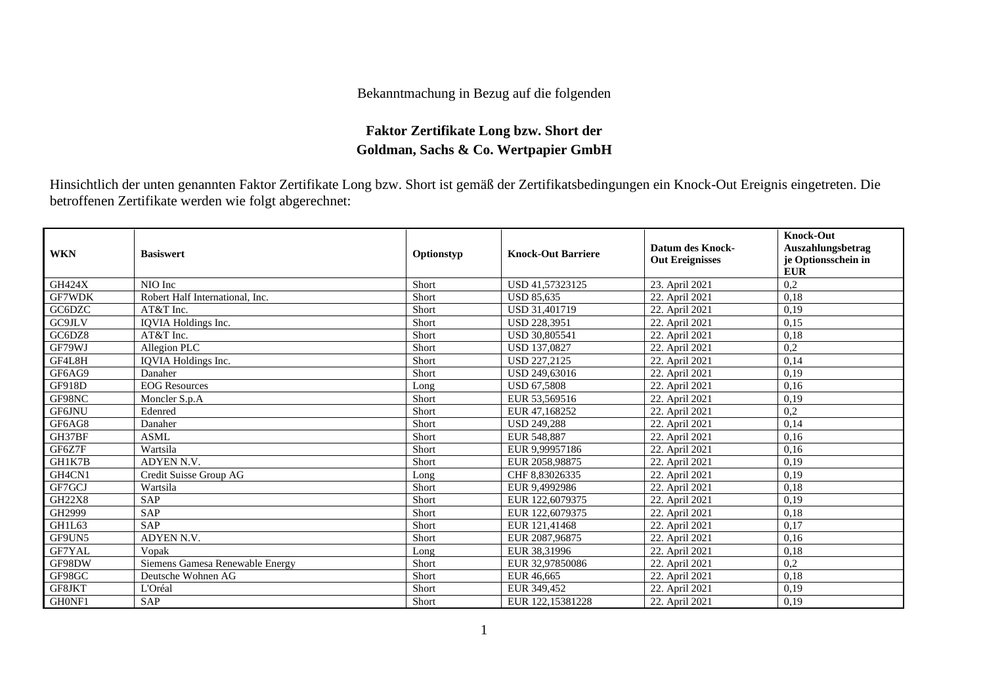## Bekanntmachung in Bezug auf die folgenden

## **Faktor Zertifikate Long bzw. Short der Goldman, Sachs & Co. Wertpapier GmbH**

Hinsichtlich der unten genannten Faktor Zertifikate Long bzw. Short ist gemäß der Zertifikatsbedingungen ein Knock-Out Ereignis eingetreten. Die betroffenen Zertifikate werden wie folgt abgerechnet:

| <b>WKN</b>    | <b>Basiswert</b>                | Optionstyp | <b>Knock-Out Barriere</b> | <b>Datum des Knock-</b><br><b>Out Ereignisses</b> | <b>Knock-Out</b><br>Auszahlungsbetrag<br>je Optionsschein in<br><b>EUR</b> |
|---------------|---------------------------------|------------|---------------------------|---------------------------------------------------|----------------------------------------------------------------------------|
| <b>GH424X</b> | NIO Inc                         | Short      | USD 41.57323125           | 23. April 2021                                    | 0,2                                                                        |
| <b>GF7WDK</b> | Robert Half International, Inc. | Short      | <b>USD 85,635</b>         | 22. April 2021                                    | 0,18                                                                       |
| GC6DZC        | AT&T Inc.                       | Short      | USD 31.401719             | 22. April 2021                                    | 0,19                                                                       |
| GC9JLV        | IQVIA Holdings Inc.             | Short      | <b>USD 228.3951</b>       | 22. April 2021                                    | 0.15                                                                       |
| GC6DZ8        | AT&T Inc.                       | Short      | <b>USD 30,805541</b>      | 22. April 2021                                    | 0,18                                                                       |
| GF79WJ        | Allegion PLC                    | Short      | <b>USD 137,0827</b>       | 22. April 2021                                    | 0,2                                                                        |
| GF4L8H        | IQVIA Holdings Inc.             | Short      | USD 227,2125              | 22. April 2021                                    | 0,14                                                                       |
| GF6AG9        | Danaher                         | Short      | USD 249,63016             | 22. April 2021                                    | 0,19                                                                       |
| <b>GF918D</b> | <b>EOG</b> Resources            | Long       | <b>USD 67.5808</b>        | 22. April 2021                                    | 0,16                                                                       |
| GF98NC        | Moncler S.p.A                   | Short      | EUR 53,569516             | 22. April 2021                                    | 0,19                                                                       |
| <b>GF6JNU</b> | Edenred                         | Short      | EUR 47.168252             | 22. April 2021                                    | 0,2                                                                        |
| GF6AG8        | Danaher                         | Short      | <b>USD 249,288</b>        | 22. April 2021                                    | 0,14                                                                       |
| GH37BF        | <b>ASML</b>                     | Short      | EUR 548,887               | 22. April 2021                                    | 0,16                                                                       |
| GF6Z7F        | Wartsila                        | Short      | EUR 9,99957186            | 22. April 2021                                    | 0,16                                                                       |
| GH1K7B        | ADYEN N.V.                      | Short      | EUR 2058,98875            | 22. April 2021                                    | 0,19                                                                       |
| GH4CN1        | Credit Suisse Group AG          | Long       | CHF 8,83026335            | 22. April 2021                                    | 0,19                                                                       |
| GF7GCJ        | Wartsila                        | Short      | EUR 9,4992986             | 22. April 2021                                    | 0,18                                                                       |
| <b>GH22X8</b> | <b>SAP</b>                      | Short      | EUR 122,6079375           | 22. April 2021                                    | 0.19                                                                       |
| GH2999        | <b>SAP</b>                      | Short      | EUR 122,6079375           | 22. April 2021                                    | 0,18                                                                       |
| GH1L63        | <b>SAP</b>                      | Short      | EUR 121,41468             | 22. April 2021                                    | 0,17                                                                       |
| GF9UN5        | <b>ADYEN N.V.</b>               | Short      | EUR 2087,96875            | 22. April 2021                                    | 0,16                                                                       |
| GF7YAL        | Vopak                           | Long       | EUR 38,31996              | 22. April 2021                                    | 0.18                                                                       |
| GF98DW        | Siemens Gamesa Renewable Energy | Short      | EUR 32,97850086           | 22. April 2021                                    | 0,2                                                                        |
| GF98GC        | Deutsche Wohnen AG              | Short      | EUR 46,665                | 22. April 2021                                    | 0.18                                                                       |
| GF8JKT        | L'Oréal                         | Short      | EUR 349,452               | 22. April 2021                                    | 0,19                                                                       |
| GH0NF1        | <b>SAP</b>                      | Short      | EUR 122,15381228          | 22. April 2021                                    | 0,19                                                                       |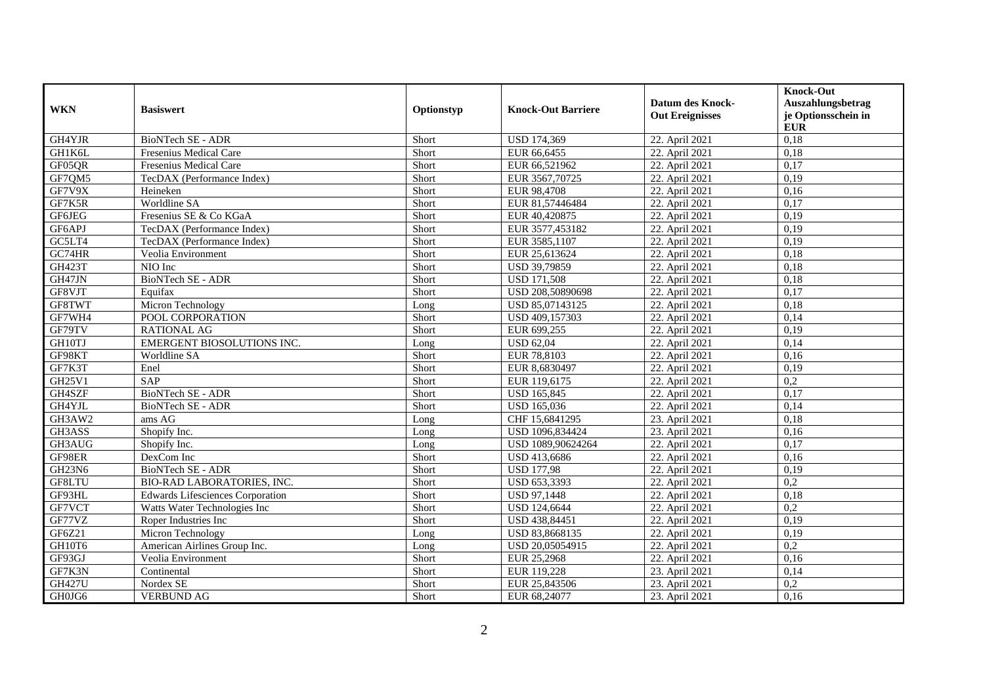| <b>WKN</b>                      | <b>Basiswert</b>                        | Optionstyp | <b>Knock-Out Barriere</b> | <b>Datum des Knock-</b><br><b>Out Ereignisses</b> | <b>Knock-Out</b><br>Auszahlungsbetrag<br>je Optionsschein in |
|---------------------------------|-----------------------------------------|------------|---------------------------|---------------------------------------------------|--------------------------------------------------------------|
|                                 |                                         |            |                           |                                                   | <b>EUR</b>                                                   |
| GH4YJR                          | <b>BioNTech SE - ADR</b>                | Short      | <b>USD 174,369</b>        | 22. April 2021                                    | 0,18                                                         |
| GH1K6L                          | Fresenius Medical Care                  | Short      | EUR 66,6455               | 22. April 2021                                    | 0.18                                                         |
| GF05QR                          | Fresenius Medical Care                  | Short      | EUR 66,521962             | 22. April 2021                                    | 0,17                                                         |
| GF7QM5                          | TecDAX (Performance Index)              | Short      | EUR 3567,70725            | 22. April 2021                                    | 0,19                                                         |
| GF7V9X                          | Heineken                                | Short      | EUR 98,4708               | 22. April 2021                                    | 0,16                                                         |
| GF7K5R                          | Worldline SA                            | Short      | EUR 81,57446484           | 22. April 2021                                    | 0,17                                                         |
| GF6JEG                          | Fresenius SE & Co KGaA                  | Short      | EUR 40,420875             | 22. April 2021                                    | 0,19                                                         |
| GF6APJ                          | TecDAX (Performance Index)              | Short      | EUR 3577,453182           | 22. April 2021                                    | 0,19                                                         |
| GC5LT4                          | TecDAX (Performance Index)              | Short      | EUR 3585,1107             | 22. April 2021                                    | 0,19                                                         |
| GC74HR                          | Veolia Environment                      | Short      | EUR 25,613624             | 22. April 2021                                    | 0,18                                                         |
| <b>GH423T</b>                   | NIO Inc                                 | Short      | USD 39,79859              | 22. April 2021                                    | 0,18                                                         |
| GH47JN                          | <b>BioNTech SE - ADR</b>                | Short      | <b>USD 171,508</b>        | 22. April 2021                                    | 0,18                                                         |
| GF8VJT                          | Equifax                                 | Short      | USD 208,50890698          | 22. April 2021                                    | 0,17                                                         |
| GF8TWT                          | Micron Technology                       | Long       | USD 85,07143125           | 22. April 2021                                    | 0,18                                                         |
| GF7WH4                          | POOL CORPORATION                        | Short      | USD 409,157303            | 22. April 2021                                    | 0,14                                                         |
| GF79TV                          | <b>RATIONAL AG</b>                      | Short      | EUR 699,255               | 22. April 2021                                    | 0,19                                                         |
| GH10TJ                          | EMERGENT BIOSOLUTIONS INC.              | Long       | <b>USD 62,04</b>          | 22. April 2021                                    | 0,14                                                         |
| GF98KT                          | Worldline SA                            | Short      | EUR 78,8103               | 22. April 2021                                    | 0,16                                                         |
| GF7K3T                          | Enel                                    | Short      | EUR 8,6830497             | 22. April 2021                                    | 0,19                                                         |
| GH25V1                          | <b>SAP</b>                              | Short      | EUR 119,6175              | 22. April 2021                                    | 0,2                                                          |
| GH4SZF                          | <b>BioNTech SE - ADR</b>                | Short      | <b>USD 165,845</b>        | 22. April 2021                                    | 0,17                                                         |
| GH4YJL                          | <b>BioNTech SE - ADR</b>                | Short      | USD 165,036               | 22. April 2021                                    | 0,14                                                         |
| GH3AW2                          | ams AG                                  | Long       | CHF 15,6841295            | 23. April 2021                                    | 0,18                                                         |
| GH3ASS                          | Shopify Inc.                            | Long       | USD 1096,834424           | 23. April 2021                                    | 0,16                                                         |
| GH3AUG                          | Shopify Inc.                            | Long       | USD 1089,90624264         | 22. April 2021                                    | 0,17                                                         |
| GF98ER                          | DexCom Inc                              | Short      | USD 413,6686              | 22. April 2021                                    | 0.16                                                         |
| GH <sub>23</sub> N <sub>6</sub> | <b>BioNTech SE - ADR</b>                | Short      | <b>USD 177,98</b>         | 22. April 2021                                    | 0,19                                                         |
| GF8LTU                          | <b>BIO-RAD LABORATORIES, INC.</b>       | Short      | USD 653,3393              | 22. April 2021                                    | 0,2                                                          |
| GF93HL                          | <b>Edwards Lifesciences Corporation</b> | Short      | USD 97,1448               | 22. April 2021                                    | 0,18                                                         |
| GF7VCT                          | Watts Water Technologies Inc            | Short      | USD 124,6644              | 22. April 2021                                    | 0,2                                                          |
| GF77VZ                          | Roper Industries Inc                    | Short      | USD 438,84451             | 22. April 2021                                    | 0,19                                                         |
| GF6Z21                          | Micron Technology                       | Long       | USD 83,8668135            | 22. April 2021                                    | 0,19                                                         |
| GH10T6                          | American Airlines Group Inc.            | Long       | USD 20,05054915           | 22. April 2021                                    | 0,2                                                          |
| GF93GJ                          | Veolia Environment                      | Short      | EUR 25,2968               | 22. April 2021                                    | 0,16                                                         |
| GF7K3N                          | Continental                             | Short      | EUR 119,228               | 23. April 2021                                    | 0,14                                                         |
| <b>GH427U</b>                   | Nordex SE                               | Short      | EUR 25,843506             | 23. April 2021                                    | 0,2                                                          |
| GH0JG6                          | <b>VERBUND AG</b>                       | Short      | EUR 68,24077              | 23. April 2021                                    | 0,16                                                         |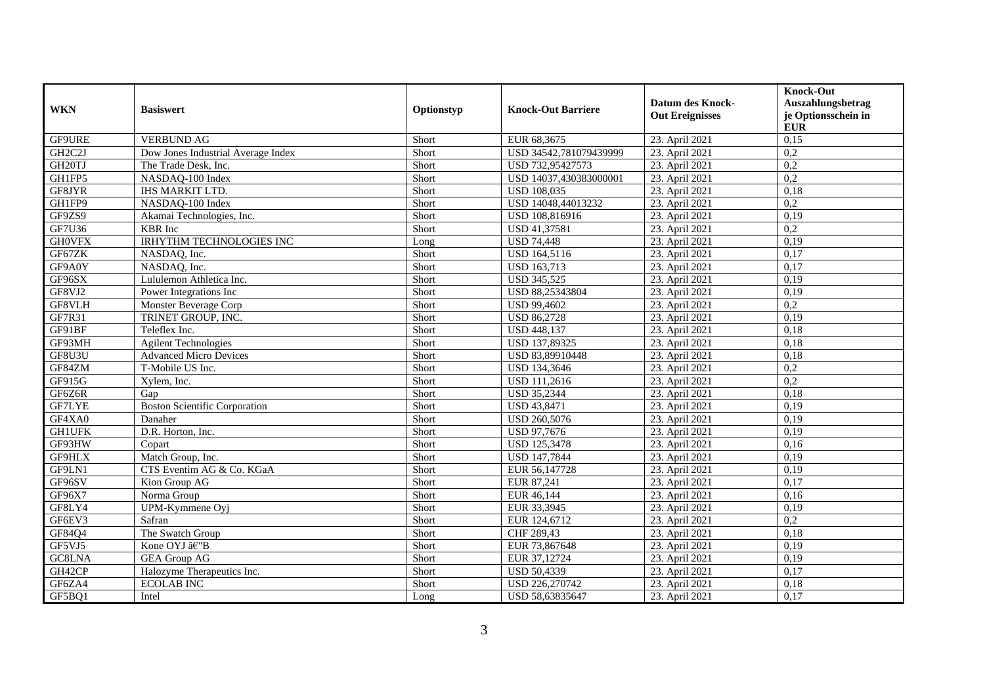| <b>WKN</b>                       | <b>Basiswert</b>                     | Optionstyp | <b>Knock-Out Barriere</b> | <b>Datum des Knock-</b><br><b>Out Ereignisses</b> | <b>Knock-Out</b><br>Auszahlungsbetrag<br>je Optionsschein in<br><b>EUR</b> |
|----------------------------------|--------------------------------------|------------|---------------------------|---------------------------------------------------|----------------------------------------------------------------------------|
| GF9URE                           | <b>VERBUND AG</b>                    | Short      | EUR 68,3675               | 23. April 2021                                    | 0,15                                                                       |
| GH <sub>2</sub> C <sub>2</sub> J | Dow Jones Industrial Average Index   | Short      | USD 34542.781079439999    | 23. April 2021                                    | 0,2                                                                        |
| GH <sub>20TJ</sub>               | The Trade Desk, Inc.                 | Short      | USD 732,95427573          | 23. April 2021                                    | 0,2                                                                        |
| GH1FP5                           | NASDAQ-100 Index                     | Short      | USD 14037,430383000001    | 23. April 2021                                    | 0,2                                                                        |
| GF8JYR                           | <b>IHS MARKIT LTD.</b>               | Short      | <b>USD 108,035</b>        | 23. April 2021                                    | 0,18                                                                       |
| GH1FP9                           | NASDAQ-100 Index                     | Short      | USD 14048,44013232        | 23. April 2021                                    | 0,2                                                                        |
| GF9ZS9                           | Akamai Technologies, Inc.            | Short      | USD 108,816916            | 23. April 2021                                    | 0,19                                                                       |
| GF7U36                           | <b>KBR</b> Inc                       | Short      | USD 41,37581              | 23. April 2021                                    | 0,2                                                                        |
| <b>GH0VFX</b>                    | <b>IRHYTHM TECHNOLOGIES INC</b>      | Long       | <b>USD 74,448</b>         | 23. April 2021                                    | 0,19                                                                       |
| GF67ZK                           | NASDAQ, Inc.                         | Short      | <b>USD 164,5116</b>       | 23. April 2021                                    | 0,17                                                                       |
| GF9A0Y                           | NASDAQ, Inc.                         | Short      | <b>USD 163,713</b>        | 23. April 2021                                    | 0,17                                                                       |
| GF96SX                           | Lululemon Athletica Inc.             | Short      | <b>USD 345,525</b>        | 23. April 2021                                    | 0,19                                                                       |
| GF8VJ2                           | Power Integrations Inc               | Short      | USD 88,25343804           | 23. April 2021                                    | 0,19                                                                       |
| GF8VLH                           | Monster Beverage Corp                | Short      | USD 99,4602               | 23. April 2021                                    | 0,2                                                                        |
| GF7R31                           | TRINET GROUP, INC.                   | Short      | <b>USD 86,2728</b>        | 23. April 2021                                    | 0,19                                                                       |
| GF91BF                           | Teleflex Inc.                        | Short      | <b>USD 448,137</b>        | 23. April 2021                                    | 0,18                                                                       |
| GF93MH                           | <b>Agilent Technologies</b>          | Short      | USD 137,89325             | 23. April 2021                                    | 0,18                                                                       |
| GF8U3U                           | <b>Advanced Micro Devices</b>        | Short      | USD 83,89910448           | 23. April 2021                                    | 0,18                                                                       |
| GF84ZM                           | T-Mobile US Inc.                     | Short      | USD 134,3646              | 23. April 2021                                    | 0,2                                                                        |
| GF915G                           | Xylem, Inc.                          | Short      | USD 111,2616              | 23. April 2021                                    | 0,2                                                                        |
| GF6Z6R                           | Gap                                  | Short      | <b>USD 35,2344</b>        | 23. April 2021                                    | 0,18                                                                       |
| <b>GF7LYE</b>                    | <b>Boston Scientific Corporation</b> | Short      | <b>USD 43,8471</b>        | 23. April 2021                                    | 0,19                                                                       |
| GF4XA0                           | Danaher                              | Short      | USD 260,5076              | 23. April 2021                                    | 0,19                                                                       |
| <b>GH1UFK</b>                    | D.R. Horton, Inc.                    | Short      | USD 97,7676               | 23. April 2021                                    | 0,19                                                                       |
| GF93HW                           | Copart                               | Short      | <b>USD 125,3478</b>       | 23. April 2021                                    | 0,16                                                                       |
| GF9HLX                           | Match Group, Inc.                    | Short      | USD 147,7844              | 23. April 2021                                    | 0.19                                                                       |
| GF9LN1                           | CTS Eventim AG & Co. KGaA            | Short      | EUR 56,147728             | 23. April 2021                                    | 0,19                                                                       |
| GF96SV                           | Kion Group AG                        | Short      | EUR 87,241                | 23. April 2021                                    | 0,17                                                                       |
| GF96X7                           | Norma Group                          | Short      | EUR 46,144                | 23. April 2021                                    | 0,16                                                                       |
| GF8LY4                           | UPM-Kymmene Oyj                      | Short      | EUR 33,3945               | 23. April 2021                                    | 0,19                                                                       |
| GF6EV3                           | Safran                               | Short      | EUR 124,6712              | 23. April 2021                                    | 0,2                                                                        |
| GF84Q4                           | The Swatch Group                     | Short      | CHF 289,43                | 23. April 2021                                    | 0,18                                                                       |
| GF5VJ5                           | Kone OYJ â€"B                        | Short      | EUR 73,867648             | 23. April 2021                                    | 0,19                                                                       |
| GC8LNA                           | <b>GEA Group AG</b>                  | Short      | EUR 37,12724              | 23. April 2021                                    | 0,19                                                                       |
| GH42CP                           | Halozyme Therapeutics Inc.           | Short      | <b>USD 50,4339</b>        | 23. April 2021                                    | 0,17                                                                       |
| GF6ZA4                           | <b>ECOLAB INC</b>                    | Short      | USD 226,270742            | 23. April 2021                                    | 0,18                                                                       |
| GF5BQ1                           | Intel                                | Long       | USD 58,63835647           | 23. April 2021                                    | 0,17                                                                       |